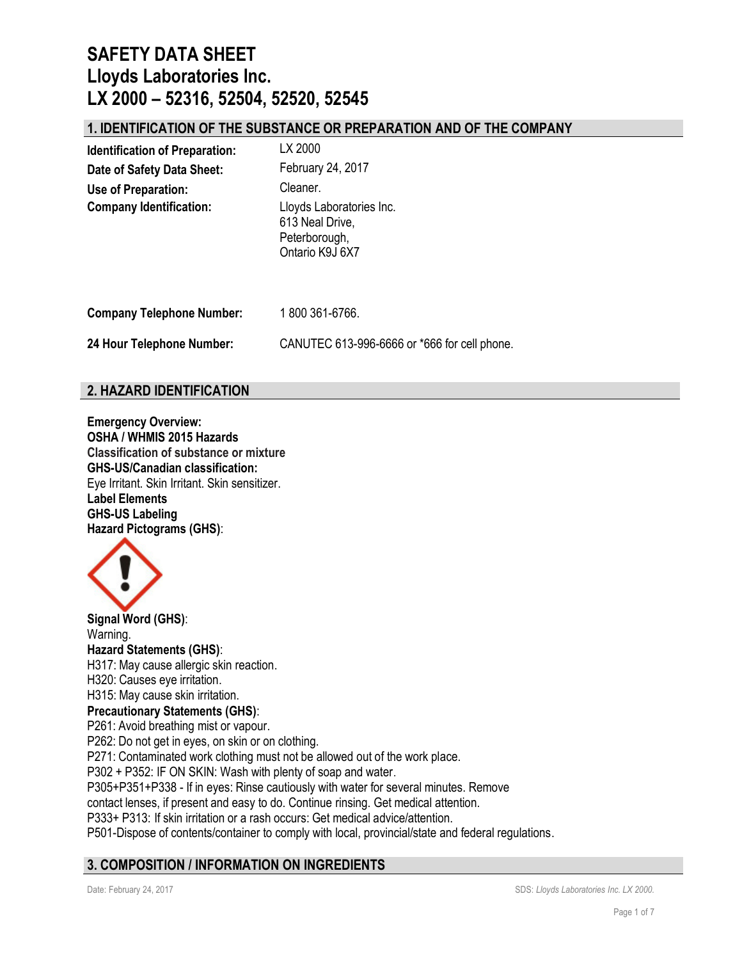### **1. IDENTIFICATION OF THE SUBSTANCE OR PREPARATION AND OF THE COMPANY**

| <b>Identification of Preparation:</b> | LX 2000                                                                         |
|---------------------------------------|---------------------------------------------------------------------------------|
| Date of Safety Data Sheet:            | February 24, 2017                                                               |
| Use of Preparation:                   | Cleaner.                                                                        |
| <b>Company Identification:</b>        | Lloyds Laboratories Inc.<br>613 Neal Drive,<br>Peterborough,<br>Ontario K9J 6X7 |
| <b>Company Telephone Number:</b>      | 1800361-6766.                                                                   |

**24 Hour Telephone Number:** CANUTEC 613-996-6666 or \*666 for cell phone.

### **2. HAZARD IDENTIFICATION**

**Emergency Overview: OSHA / WHMIS 2015 Hazards Classification of substance or mixture GHS-US/Canadian classification:** Eye Irritant. Skin Irritant. Skin sensitizer. **Label Elements GHS-US Labeling Hazard Pictograms (GHS)**:



**Signal Word (GHS)**: Warning. **Hazard Statements (GHS)**: H317: May cause allergic skin reaction. H320: Causes eye irritation. H315: May cause skin irritation. **Precautionary Statements (GHS)**: P261: Avoid breathing mist or vapour. P262: Do not get in eyes, on skin or on clothing. P271: Contaminated work clothing must not be allowed out of the work place. P302 + P352: IF ON SKIN: Wash with plenty of soap and water. P305+P351+P338 - If in eyes: Rinse cautiously with water for several minutes. Remove contact lenses, if present and easy to do. Continue rinsing. Get medical attention. P333+ P313: If skin irritation or a rash occurs: Get medical advice/attention. P501-Dispose of contents/container to comply with local, provincial/state and federal regulations.

## **3. COMPOSITION / INFORMATION ON INGREDIENTS**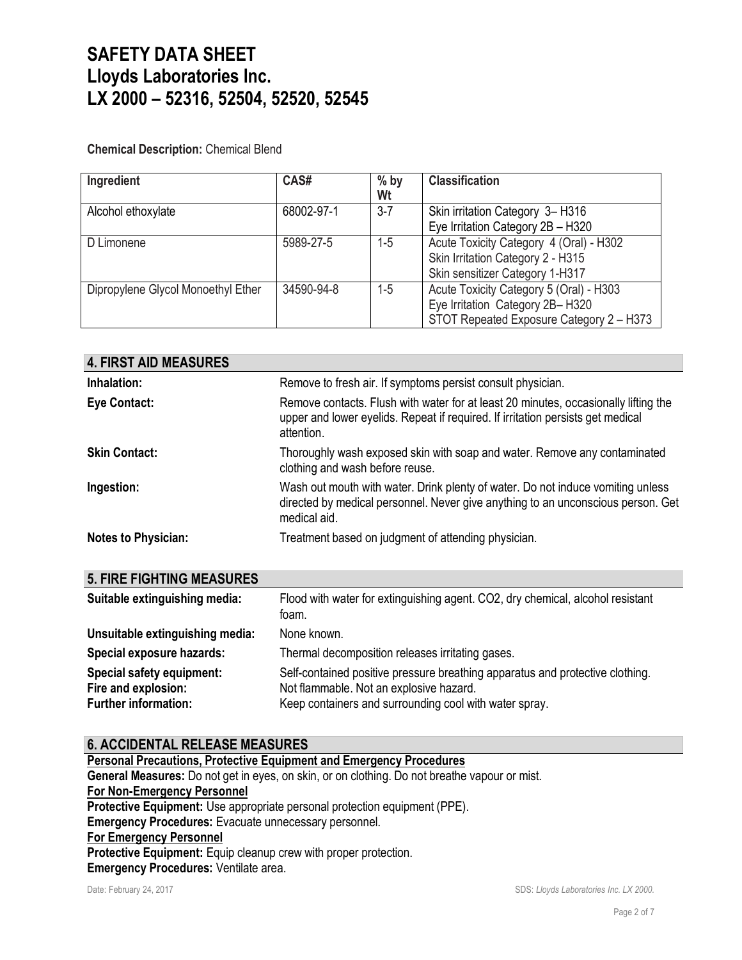#### **Chemical Description:** Chemical Blend

| Ingredient                         | CAS#       | $%$ by<br>Wt | <b>Classification</b>                    |
|------------------------------------|------------|--------------|------------------------------------------|
| Alcohol ethoxylate                 | 68002-97-1 | $3 - 7$      | Skin irritation Category 3-H316          |
|                                    |            |              | Eye Irritation Category 2B - H320        |
| D Limonene                         | 5989-27-5  | $1-5$        | Acute Toxicity Category 4 (Oral) - H302  |
|                                    |            |              | Skin Irritation Category 2 - H315        |
|                                    |            |              | Skin sensitizer Category 1-H317          |
| Dipropylene Glycol Monoethyl Ether | 34590-94-8 | $1-5$        | Acute Toxicity Category 5 (Oral) - H303  |
|                                    |            |              | Eye Irritation Category 2B-H320          |
|                                    |            |              | STOT Repeated Exposure Category 2 - H373 |

| <b>4. FIRST AID MEASURES</b> |                                                                                                                                                                                      |
|------------------------------|--------------------------------------------------------------------------------------------------------------------------------------------------------------------------------------|
| Inhalation:                  | Remove to fresh air. If symptoms persist consult physician.                                                                                                                          |
| <b>Eye Contact:</b>          | Remove contacts. Flush with water for at least 20 minutes, occasionally lifting the<br>upper and lower eyelids. Repeat if required. If irritation persists get medical<br>attention. |
| <b>Skin Contact:</b>         | Thoroughly wash exposed skin with soap and water. Remove any contaminated<br>clothing and wash before reuse.                                                                         |
| Ingestion:                   | Wash out mouth with water. Drink plenty of water. Do not induce vomiting unless<br>directed by medical personnel. Never give anything to an unconscious person. Get<br>medical aid.  |
| <b>Notes to Physician:</b>   | Treatment based on judgment of attending physician.                                                                                                                                  |

| <b>5. FIRE FIGHTING MEASURES</b>                                                |                                                                                                                                                                                    |
|---------------------------------------------------------------------------------|------------------------------------------------------------------------------------------------------------------------------------------------------------------------------------|
| Suitable extinguishing media:                                                   | Flood with water for extinguishing agent. CO2, dry chemical, alcohol resistant<br>foam.                                                                                            |
| Unsuitable extinguishing media:                                                 | None known.                                                                                                                                                                        |
| Special exposure hazards:                                                       | Thermal decomposition releases irritating gases.                                                                                                                                   |
| Special safety equipment:<br>Fire and explosion:<br><b>Further information:</b> | Self-contained positive pressure breathing apparatus and protective clothing.<br>Not flammable. Not an explosive hazard.<br>Keep containers and surrounding cool with water spray. |

### **6. ACCIDENTAL RELEASE MEASURES**

**Personal Precautions, Protective Equipment and Emergency Procedures General Measures:** Do not get in eyes, on skin, or on clothing. Do not breathe vapour or mist. **For Non-Emergency Personnel Protective Equipment:** Use appropriate personal protection equipment (PPE). **Emergency Procedures:** Evacuate unnecessary personnel. **For Emergency Personnel** Protective Equipment: Equip cleanup crew with proper protection. **Emergency Procedures:** Ventilate area.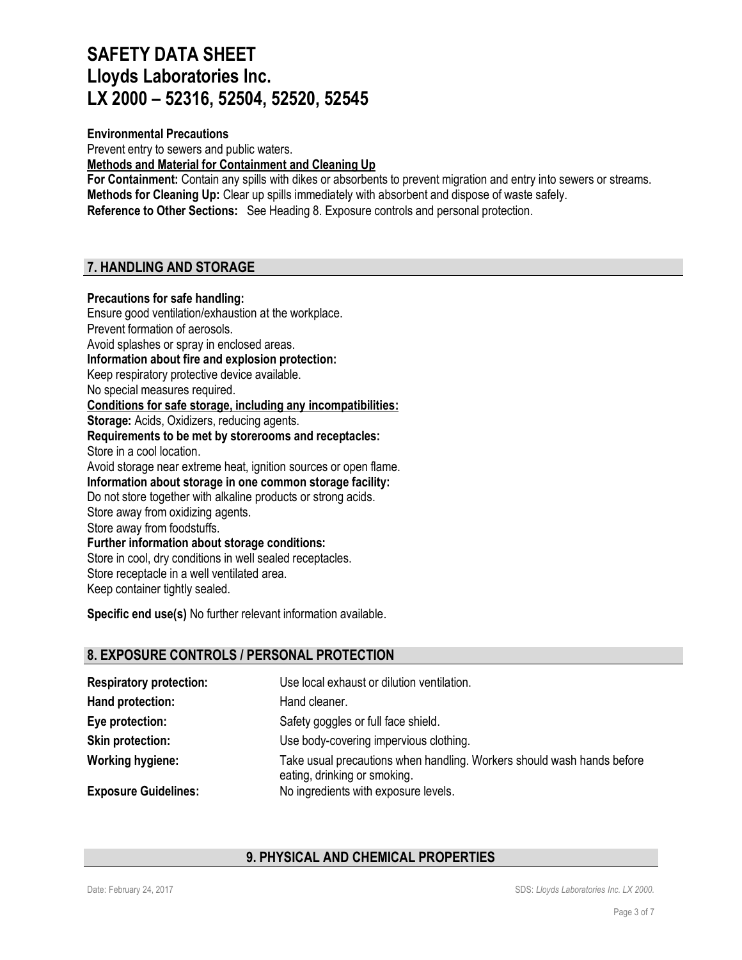### **Environmental Precautions**

Prevent entry to sewers and public waters.

**Methods and Material for Containment and Cleaning Up**

**For Containment:** Contain any spills with dikes or absorbents to prevent migration and entry into sewers or streams. **Methods for Cleaning Up:** Clear up spills immediately with absorbent and dispose of waste safely. **Reference to Other Sections:** See Heading 8. Exposure controls and personal protection.

### **7. HANDLING AND STORAGE**

#### **Precautions for safe handling:**

Ensure good ventilation/exhaustion at the workplace. Prevent formation of aerosols. Avoid splashes or spray in enclosed areas. **Information about fire and explosion protection:** Keep respiratory protective device available. No special measures required. **Conditions for safe storage, including any incompatibilities: Storage:** Acids, Oxidizers, reducing agents. **Requirements to be met by storerooms and receptacles:** Store in a cool location. Avoid storage near extreme heat, ignition sources or open flame. **Information about storage in one common storage facility:** Do not store together with alkaline products or strong acids. Store away from oxidizing agents. Store away from foodstuffs. **Further information about storage conditions:** Store in cool, dry conditions in well sealed receptacles. Store receptacle in a well ventilated area. Keep container tightly sealed.

**Specific end use(s)** No further relevant information available.

### **8. EXPOSURE CONTROLS / PERSONAL PROTECTION**

| <b>Respiratory protection:</b> | Use local exhaust or dilution ventilation.                                                             |
|--------------------------------|--------------------------------------------------------------------------------------------------------|
| Hand protection:               | Hand cleaner.                                                                                          |
| Eye protection:                | Safety goggles or full face shield.                                                                    |
| <b>Skin protection:</b>        | Use body-covering impervious clothing.                                                                 |
| <b>Working hygiene:</b>        | Take usual precautions when handling. Workers should wash hands before<br>eating, drinking or smoking. |
| <b>Exposure Guidelines:</b>    | No ingredients with exposure levels.                                                                   |

#### **9. PHYSICAL AND CHEMICAL PROPERTIES**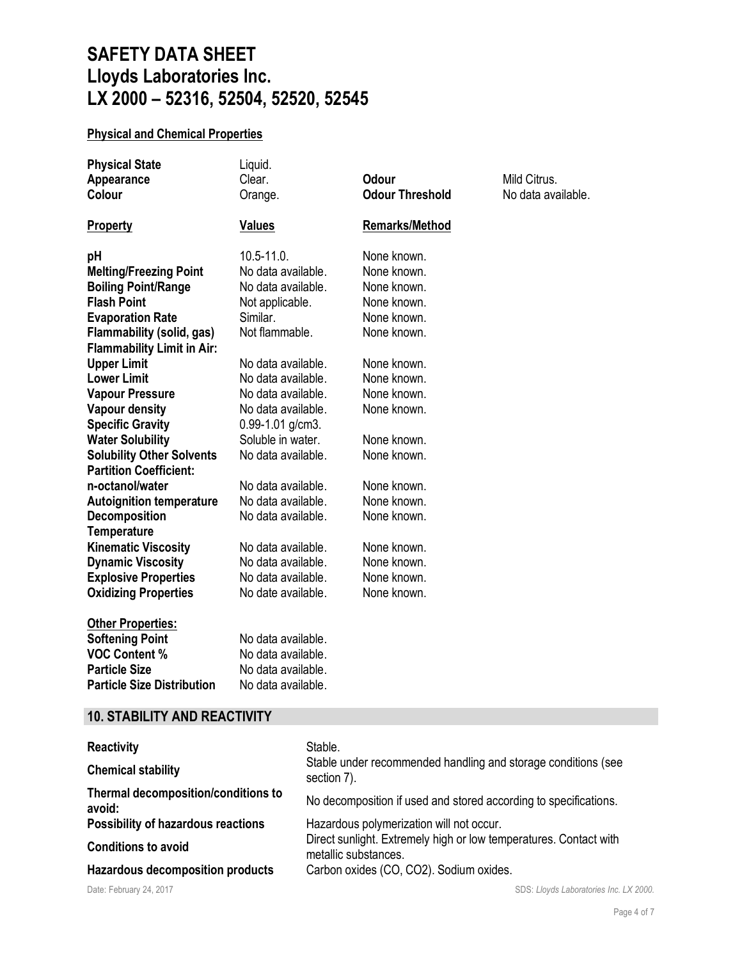## **Physical and Chemical Properties**

| <b>Physical State</b>               | Liquid.              |                        |                    |
|-------------------------------------|----------------------|------------------------|--------------------|
| Appearance                          | Clear.               | <b>Odour</b>           | Mild Citrus.       |
| Colour                              | Orange.              | <b>Odour Threshold</b> | No data available. |
| <b>Property</b>                     | <b>Values</b>        | <b>Remarks/Method</b>  |                    |
| pH                                  | $10.5 - 11.0$ .      | None known.            |                    |
| <b>Melting/Freezing Point</b>       | No data available.   | None known.            |                    |
| <b>Boiling Point/Range</b>          | No data available.   | None known.            |                    |
| <b>Flash Point</b>                  | Not applicable.      | None known.            |                    |
| <b>Evaporation Rate</b>             | Similar.             | None known.            |                    |
| Flammability (solid, gas)           | Not flammable.       | None known.            |                    |
| <b>Flammability Limit in Air:</b>   |                      |                        |                    |
| <b>Upper Limit</b>                  | No data available.   | None known.            |                    |
| <b>Lower Limit</b>                  | No data available.   | None known.            |                    |
| <b>Vapour Pressure</b>              | No data available.   | None known.            |                    |
| <b>Vapour density</b>               | No data available.   | None known.            |                    |
| <b>Specific Gravity</b>             | $0.99 - 1.01$ g/cm3. |                        |                    |
| <b>Water Solubility</b>             | Soluble in water.    | None known.            |                    |
| <b>Solubility Other Solvents</b>    | No data available.   | None known.            |                    |
| <b>Partition Coefficient:</b>       |                      |                        |                    |
| n-octanol/water                     | No data available.   | None known.            |                    |
| <b>Autoignition temperature</b>     | No data available.   | None known.            |                    |
| <b>Decomposition</b>                | No data available.   | None known.            |                    |
| <b>Temperature</b>                  |                      |                        |                    |
| <b>Kinematic Viscosity</b>          | No data available.   | None known.            |                    |
| <b>Dynamic Viscosity</b>            | No data available.   | None known.            |                    |
| <b>Explosive Properties</b>         | No data available.   | None known.            |                    |
| <b>Oxidizing Properties</b>         | No date available.   | None known.            |                    |
| <b>Other Properties:</b>            |                      |                        |                    |
| <b>Softening Point</b>              | No data available.   |                        |                    |
| <b>VOC Content %</b>                | No data available.   |                        |                    |
| <b>Particle Size</b>                | No data available.   |                        |                    |
| <b>Particle Size Distribution</b>   | No data available.   |                        |                    |
| <b>10. STABILITY AND REACTIVITY</b> |                      |                        |                    |
|                                     |                      |                        |                    |

| <b>Reactivity</b>                             | Stable.                                                                                   |  |
|-----------------------------------------------|-------------------------------------------------------------------------------------------|--|
| <b>Chemical stability</b>                     | Stable under recommended handling and storage conditions (see<br>section 7).              |  |
| Thermal decomposition/conditions to<br>avoid: | No decomposition if used and stored according to specifications.                          |  |
| <b>Possibility of hazardous reactions</b>     | Hazardous polymerization will not occur.                                                  |  |
| <b>Conditions to avoid</b>                    | Direct sunlight. Extremely high or low temperatures. Contact with<br>metallic substances. |  |
| <b>Hazardous decomposition products</b>       | Carbon oxides (CO, CO2). Sodium oxides.                                                   |  |
| Date: February 24, 2017                       | SDS: Lloyds Laboratories Inc. LX 2000.                                                    |  |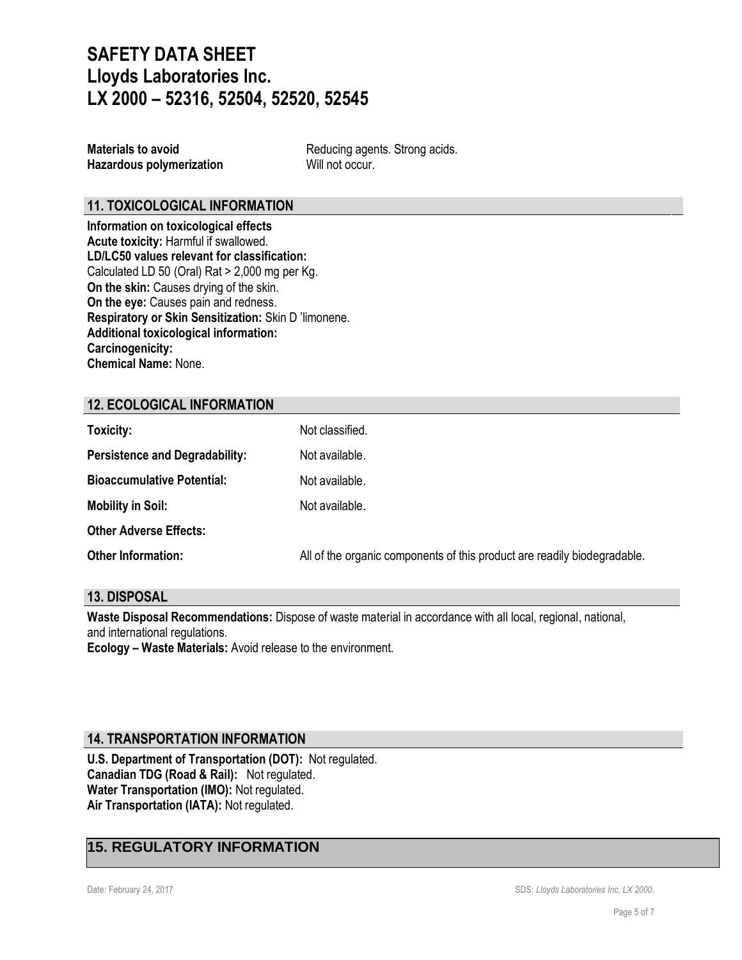**Hazardous polymerization** Will not occur.

**Materials to avoid** Reducing agents. Strong acids.

### **11. TOXICOLOGICAL INFORMATION**

**Information on toxicological effects Acute toxicity:** Harmful if swallowed. **LD/LC50 values relevant for classification:** Calculated LD 50 (Oral) Rat > 2,000 mg per Kg. **On the skin:** Causes drying of the skin. **On the eye:** Causes pain and redness. **Respiratory or Skin Sensitization:** Skin D 'limonene. **Additional toxicological information: Carcinogenicity: Chemical Name:** None.

### **12. ECOLOGICAL INFORMATION**

| Toxicity:                             | Not classified.                                                          |
|---------------------------------------|--------------------------------------------------------------------------|
| <b>Persistence and Degradability:</b> | Not available.                                                           |
| <b>Bioaccumulative Potential:</b>     | Not available.                                                           |
| <b>Mobility in Soil:</b>              | Not available.                                                           |
| <b>Other Adverse Effects:</b>         |                                                                          |
| <b>Other Information:</b>             | All of the organic components of this product are readily biodegradable. |

#### **13. DISPOSAL**

**Waste Disposal Recommendations:** Dispose of waste material in accordance with all local, regional, national, and international regulations.

**Ecology – Waste Materials:** Avoid release to the environment.

#### **14. TRANSPORTATION INFORMATION**

**U.S. Department of Transportation (DOT):** Not regulated. **Canadian TDG (Road & Rail):** Not regulated. **Water Transportation (IMO):** Not regulated. **Air Transportation (IATA):** Not regulated.

### **15. REGULATORY INFORMATION**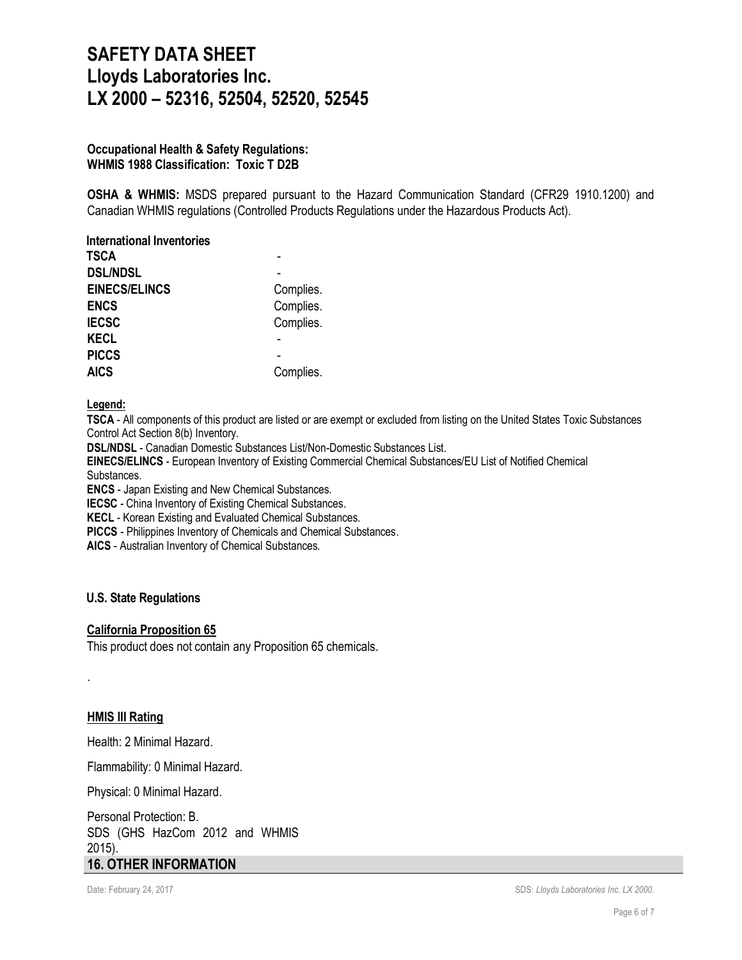#### **Occupational Health & Safety Regulations: WHMIS 1988 Classification: Toxic T D2B**

**OSHA & WHMIS:** MSDS prepared pursuant to the Hazard Communication Standard (CFR29 1910.1200) and Canadian WHMIS regulations (Controlled Products Regulations under the Hazardous Products Act).

| <b>International Inventories</b> |           |
|----------------------------------|-----------|
| TSCA                             |           |
| <b>DSL/NDSL</b>                  |           |
| <b>EINECS/ELINCS</b>             | Complies. |
| <b>ENCS</b>                      | Complies. |
| <b>IECSC</b>                     | Complies. |
| <b>KECL</b>                      |           |
| <b>PICCS</b>                     |           |
| <b>AICS</b>                      | Complies. |

#### **Legend:**

**TSCA** - All components of this product are listed or are exempt or excluded from listing on the United States Toxic Substances Control Act Section 8(b) Inventory.

**DSL/NDSL** - Canadian Domestic Substances List/Non-Domestic Substances List.

**EINECS/ELINCS** - European Inventory of Existing Commercial Chemical Substances/EU List of Notified Chemical Substances.

**ENCS** - Japan Existing and New Chemical Substances.

**IECSC** - China Inventory of Existing Chemical Substances.

**KECL** - Korean Existing and Evaluated Chemical Substances.

**PICCS** - Philippines Inventory of Chemicals and Chemical Substances.

**AICS** - Australian Inventory of Chemical Substances.

#### **U.S. State Regulations**

#### **California Proposition 65**

This product does not contain any Proposition 65 chemicals.

#### **HMIS III Rating**

.

Health: 2 Minimal Hazard.

Flammability: 0 Minimal Hazard.

Physical: 0 Minimal Hazard.

Personal Protection: B. SDS (GHS HazCom 2012 and WHMIS 2015). **16. OTHER INFORMATION**